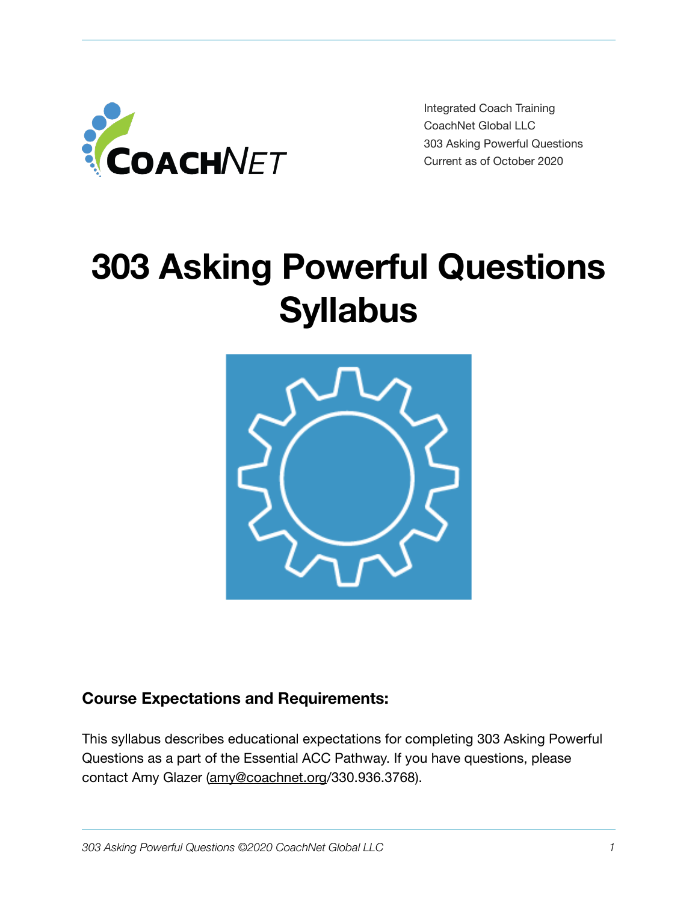

Integrated Coach Training CoachNet Global LLC 303 Asking Powerful Questions Current as of October 2020

# **303 Asking Powerful Questions Syllabus**



# **Course Expectations and Requirements:**

This syllabus describes educational expectations for completing 303 Asking Powerful Questions as a part of the Essential ACC Pathway. If you have questions, please contact Amy Glazer ([amy@coachnet.org/](mailto:amy@coachnet.org)330.936.3768).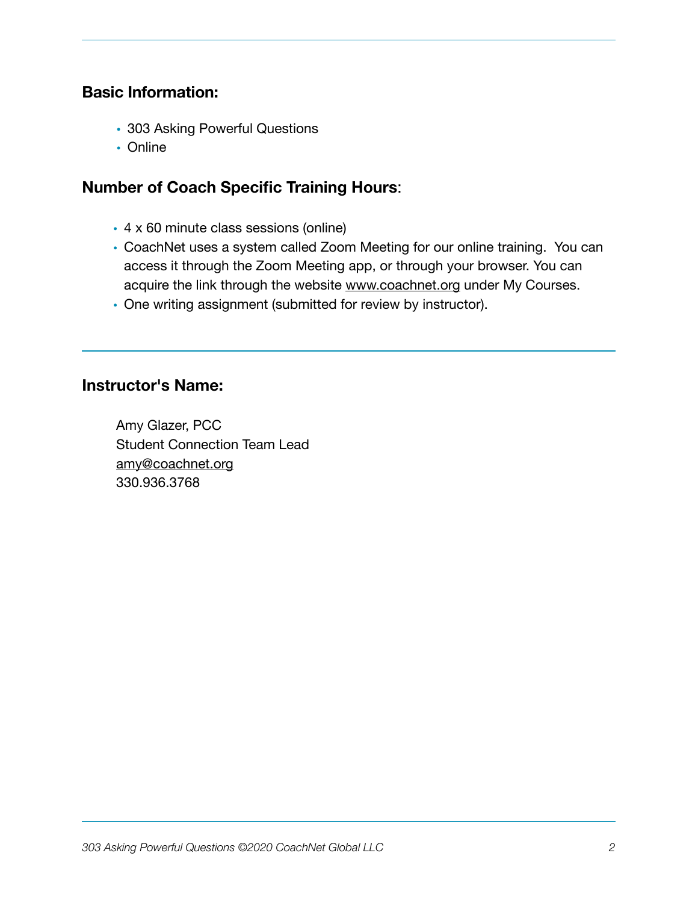## **Basic Information:**

- 303 Asking Powerful Questions
- Online

## **Number of Coach Specific Training Hours**:

- 4 x 60 minute class sessions (online)
- CoachNet uses a system called Zoom Meeting for our online training. You can access it through the Zoom Meeting app, or through your browser. You can acquire the link through the website [www.coachnet.org](http://www.coachnet.org) under My Courses.
- One writing assignment (submitted for review by instructor).

#### **Instructor's Name:**

Amy Glazer, PCC Student Connection Team Lead [amy@coachnet.org](mailto:amy@coachnet.org) 330.936.3768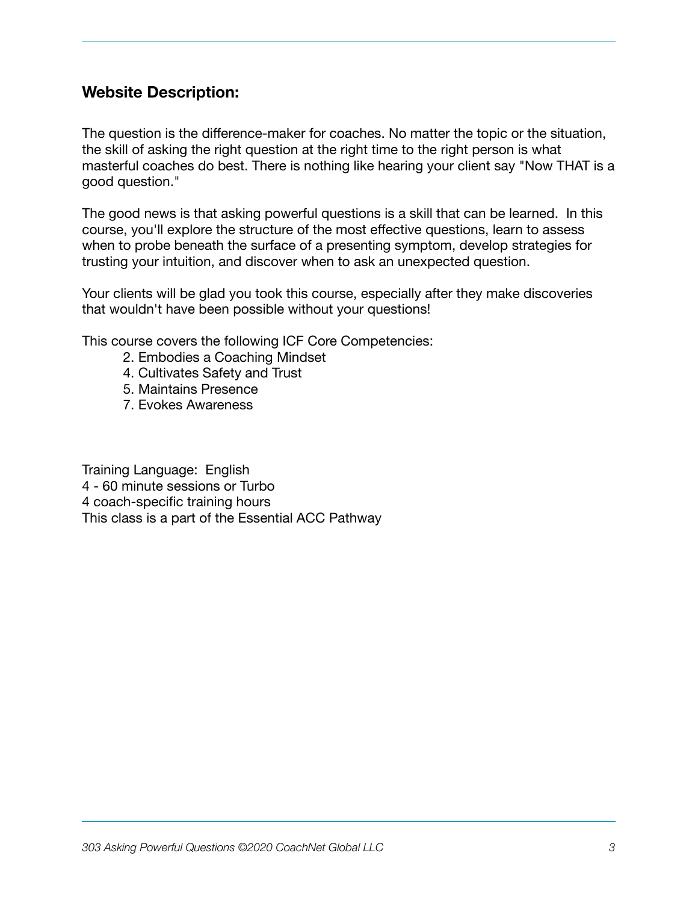## **Website Description:**

The question is the difference-maker for coaches. No matter the topic or the situation, the skill of asking the right question at the right time to the right person is what masterful coaches do best. There is nothing like hearing your client say "Now THAT is a good question."

The good news is that asking powerful questions is a skill that can be learned. In this course, you'll explore the structure of the most effective questions, learn to assess when to probe beneath the surface of a presenting symptom, develop strategies for trusting your intuition, and discover when to ask an unexpected question.

Your clients will be glad you took this course, especially after they make discoveries that wouldn't have been possible without your questions!

This course covers the following ICF Core Competencies:

- 2. Embodies a Coaching Mindset
- 4. Cultivates Safety and Trust
- 5. Maintains Presence
- 7. Evokes Awareness

Training Language: English 4 - 60 minute sessions or Turbo 4 coach-specific training hours This class is a part of the Essential ACC Pathway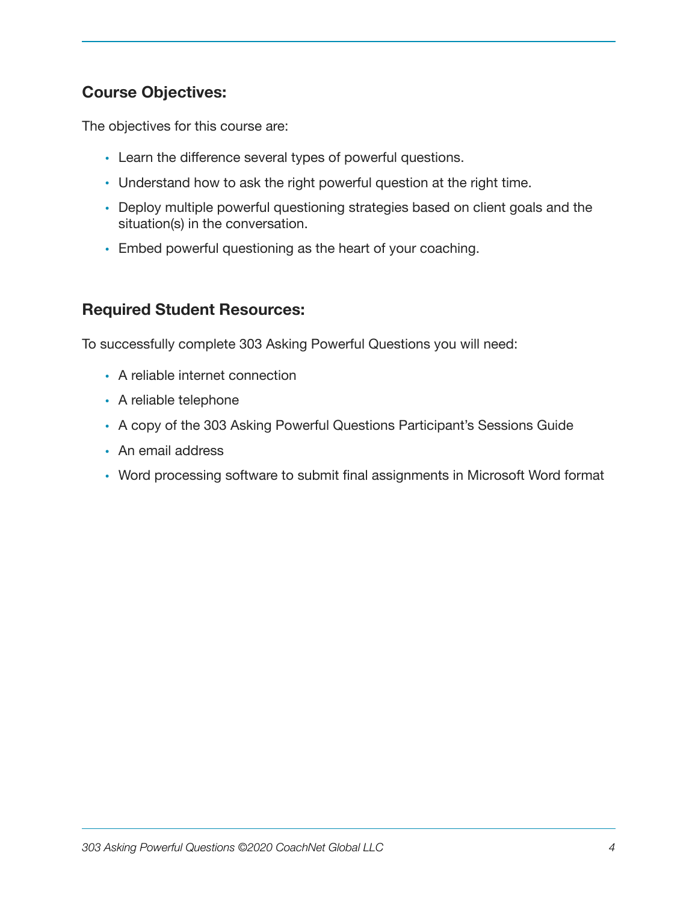# **Course Objectives:**

The objectives for this course are:

- Learn the difference several types of powerful questions.
- Understand how to ask the right powerful question at the right time.
- Deploy multiple powerful questioning strategies based on client goals and the situation(s) in the conversation.
- Embed powerful questioning as the heart of your coaching.

## **Required Student Resources:**

To successfully complete 303 Asking Powerful Questions you will need:

- A reliable internet connection
- A reliable telephone
- A copy of the 303 Asking Powerful Questions Participant's Sessions Guide
- An email address
- Word processing software to submit final assignments in Microsoft Word format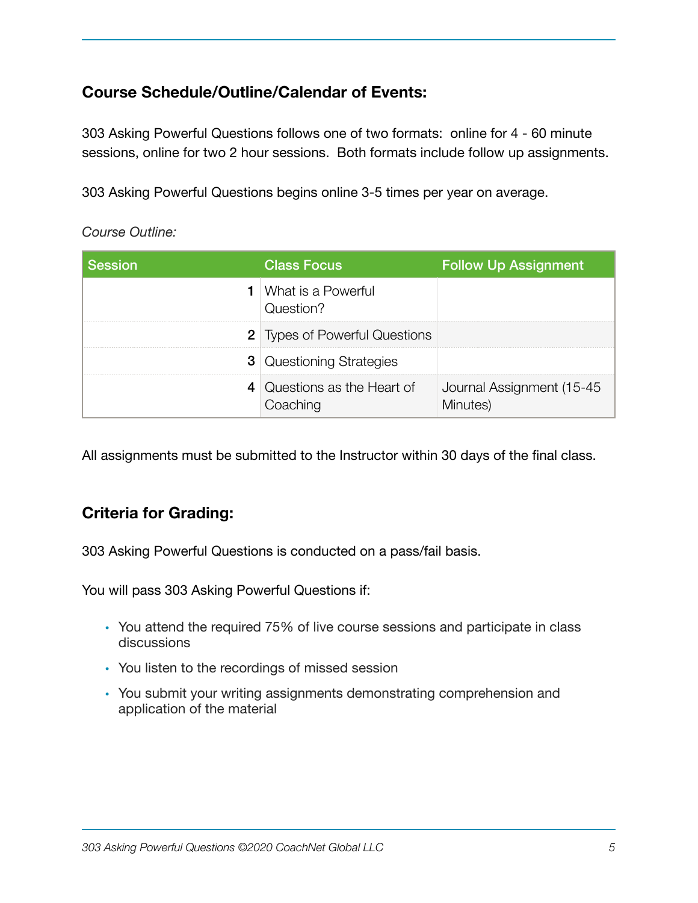# **Course Schedule/Outline/Calendar of Events:**

303 Asking Powerful Questions follows one of two formats: online for 4 - 60 minute sessions, online for two 2 hour sessions. Both formats include follow up assignments.

303 Asking Powerful Questions begins online 3-5 times per year on average.

*Course Outline:* 

| <b>Session</b> | <b>Class Focus</b>                         | <b>Follow Up Assignment</b>           |
|----------------|--------------------------------------------|---------------------------------------|
|                | <b>1</b>   What is a Powerful<br>Question? |                                       |
|                | <b>2</b> Types of Powerful Questions       |                                       |
|                | <b>3</b> Questioning Strategies            |                                       |
|                | 4 Questions as the Heart of<br>Coaching    | Journal Assignment (15-45<br>Minutes) |

All assignments must be submitted to the Instructor within 30 days of the final class.

# **Criteria for Grading:**

303 Asking Powerful Questions is conducted on a pass/fail basis.

You will pass 303 Asking Powerful Questions if:

- You attend the required 75% of live course sessions and participate in class discussions
- You listen to the recordings of missed session
- You submit your writing assignments demonstrating comprehension and application of the material